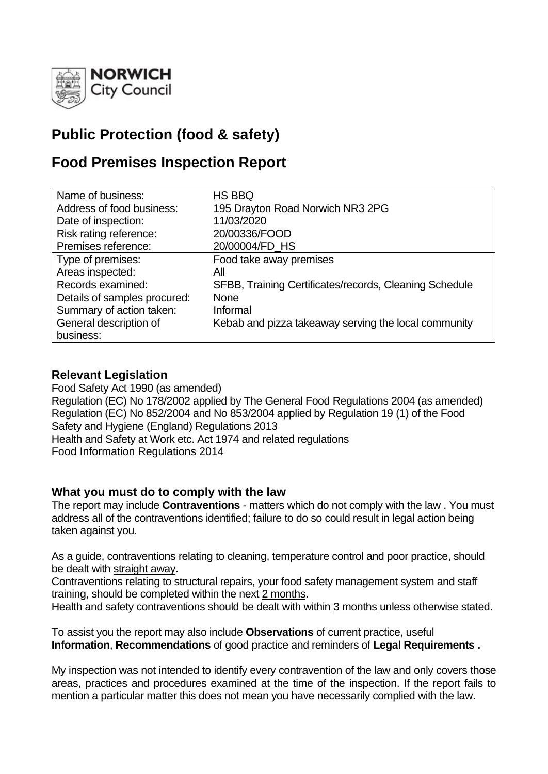

# **Public Protection (food & safety)**

# **Food Premises Inspection Report**

| Name of business:            | <b>HS BBQ</b>                                          |
|------------------------------|--------------------------------------------------------|
| Address of food business:    | 195 Drayton Road Norwich NR3 2PG                       |
| Date of inspection:          | 11/03/2020                                             |
| Risk rating reference:       | 20/00336/FOOD                                          |
| Premises reference:          | 20/00004/FD HS                                         |
| Type of premises:            | Food take away premises                                |
| Areas inspected:             | All                                                    |
| Records examined:            | SFBB, Training Certificates/records, Cleaning Schedule |
| Details of samples procured: | <b>None</b>                                            |
| Summary of action taken:     | Informal                                               |
| General description of       | Kebab and pizza takeaway serving the local community   |
| business:                    |                                                        |

## **Relevant Legislation**

Food Safety Act 1990 (as amended) Regulation (EC) No 178/2002 applied by The General Food Regulations 2004 (as amended) Regulation (EC) No 852/2004 and No 853/2004 applied by Regulation 19 (1) of the Food Safety and Hygiene (England) Regulations 2013 Health and Safety at Work etc. Act 1974 and related regulations Food Information Regulations 2014

## **What you must do to comply with the law**

The report may include **Contraventions** - matters which do not comply with the law . You must address all of the contraventions identified; failure to do so could result in legal action being taken against you.

As a guide, contraventions relating to cleaning, temperature control and poor practice, should be dealt with straight away.

Contraventions relating to structural repairs, your food safety management system and staff training, should be completed within the next 2 months.

Health and safety contraventions should be dealt with within 3 months unless otherwise stated.

To assist you the report may also include **Observations** of current practice, useful **Information**, **Recommendations** of good practice and reminders of **Legal Requirements .**

My inspection was not intended to identify every contravention of the law and only covers those areas, practices and procedures examined at the time of the inspection. If the report fails to mention a particular matter this does not mean you have necessarily complied with the law.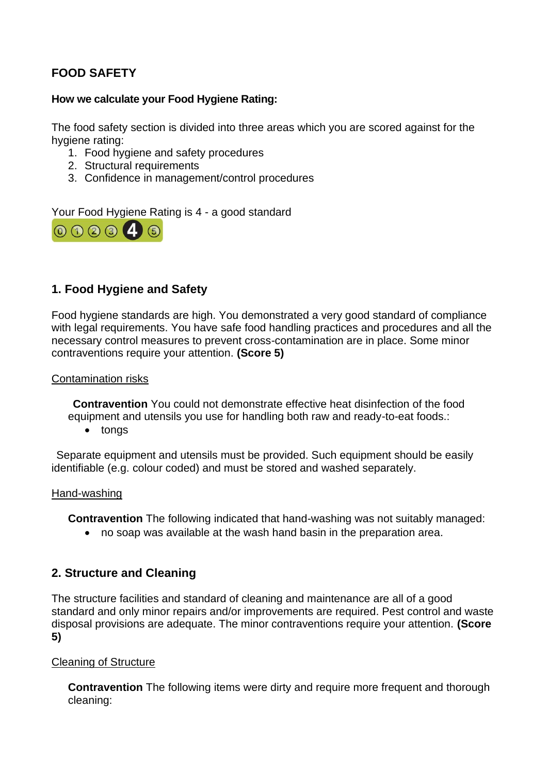## **FOOD SAFETY**

## **How we calculate your Food Hygiene Rating:**

The food safety section is divided into three areas which you are scored against for the hygiene rating:

- 1. Food hygiene and safety procedures
- 2. Structural requirements
- 3. Confidence in management/control procedures

Your Food Hygiene Rating is 4 - a good standard



## **1. Food Hygiene and Safety**

Food hygiene standards are high. You demonstrated a very good standard of compliance with legal requirements. You have safe food handling practices and procedures and all the necessary control measures to prevent cross-contamination are in place. Some minor contraventions require your attention. **(Score 5)**

### Contamination risks

**Contravention** You could not demonstrate effective heat disinfection of the food equipment and utensils you use for handling both raw and ready-to-eat foods.:

• tongs

Separate equipment and utensils must be provided. Such equipment should be easily identifiable (e.g. colour coded) and must be stored and washed separately.

#### Hand-washing

**Contravention** The following indicated that hand-washing was not suitably managed:

• no soap was available at the wash hand basin in the preparation area.

## **2. Structure and Cleaning**

The structure facilities and standard of cleaning and maintenance are all of a good standard and only minor repairs and/or improvements are required. Pest control and waste disposal provisions are adequate. The minor contraventions require your attention. **(Score 5)**

## Cleaning of Structure

**Contravention** The following items were dirty and require more frequent and thorough cleaning: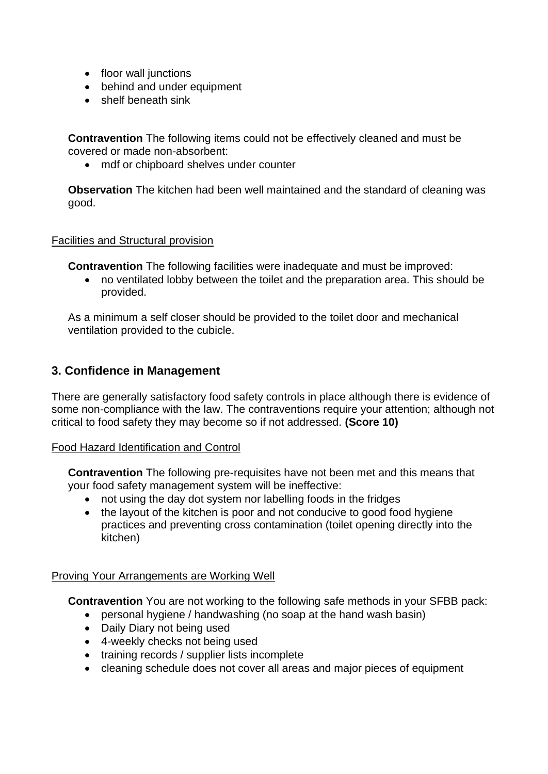- floor wall junctions
- behind and under equipment
- shelf beneath sink

**Contravention** The following items could not be effectively cleaned and must be covered or made non-absorbent:

• mdf or chipboard shelves under counter

**Observation** The kitchen had been well maintained and the standard of cleaning was good.

Facilities and Structural provision

**Contravention** The following facilities were inadequate and must be improved:

• no ventilated lobby between the toilet and the preparation area. This should be provided.

As a minimum a self closer should be provided to the toilet door and mechanical ventilation provided to the cubicle.

## **3. Confidence in Management**

There are generally satisfactory food safety controls in place although there is evidence of some non-compliance with the law. The contraventions require your attention; although not critical to food safety they may become so if not addressed. **(Score 10)**

### Food Hazard Identification and Control

**Contravention** The following pre-requisites have not been met and this means that your food safety management system will be ineffective:

- not using the day dot system nor labelling foods in the fridges
- the layout of the kitchen is poor and not conducive to good food hygiene practices and preventing cross contamination (toilet opening directly into the kitchen)

### Proving Your Arrangements are Working Well

**Contravention** You are not working to the following safe methods in your SFBB pack:

- personal hygiene / handwashing (no soap at the hand wash basin)
- Daily Diary not being used
- 4-weekly checks not being used
- training records / supplier lists incomplete
- cleaning schedule does not cover all areas and major pieces of equipment